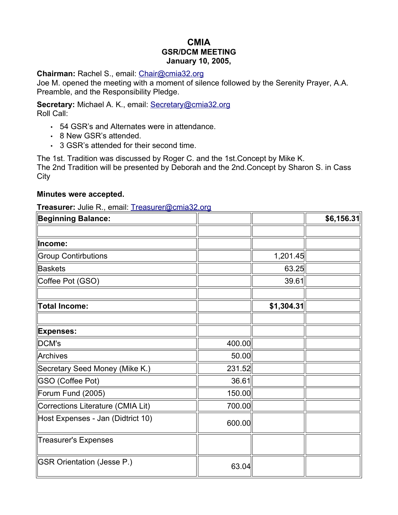# **CMIA GSR/DCM MEETING January 10, 2005,**

#### **Chairman:** Rachel S., email: [Chair@cmia32.org](mailto:Chair@cmia32.org)

Joe M. opened the meeting with a moment of silence followed by the Serenity Prayer, A.A. Preamble, and the Responsibility Pledge.

**Secretary:** Michael A. K., email: [Secretary@cmia32.org](mailto:Secretary@cmia32.org) Roll Call:

- 54 GSR's and Alternates were in attendance.
- 8 New GSR's attended.
- 3 GSR's attended for their second time.

The 1st. Tradition was discussed by Roger C. and the 1st.Concept by Mike K. The 2nd Tradition will be presented by Deborah and the 2nd.Concept by Sharon S. in Cass **City** 

#### **Minutes were accepted.**

**Treasurer:** Julie R., email: [Treasurer@cmia32.org](mailto:Treasurer@cmia32.org)

| <b>Beginning Balance:</b>         |        |            | \$6,156.31 |
|-----------------------------------|--------|------------|------------|
|                                   |        |            |            |
| Income:                           |        |            |            |
| <b>Group Contirbutions</b>        |        | 1,201.45   |            |
| <b>Baskets</b>                    |        | 63.25      |            |
| Coffee Pot (GSO)                  |        | 39.61      |            |
| <b>Total Income:</b>              |        | \$1,304.31 |            |
| <b>Expenses:</b>                  |        |            |            |
| DCM's                             | 400.00 |            |            |
| Archives                          | 50.00  |            |            |
| Secretary Seed Money (Mike K.)    | 231.52 |            |            |
| <b>GSO (Coffee Pot)</b>           | 36.61  |            |            |
| Forum Fund (2005)                 | 150.00 |            |            |
| Corrections Literature (CMIA Lit) | 700.00 |            |            |
| Host Expenses - Jan (Didtrict 10) | 600.00 |            |            |
| <b>Treasurer's Expenses</b>       |        |            |            |
| <b>GSR Orientation (Jesse P.)</b> | 63.04  |            |            |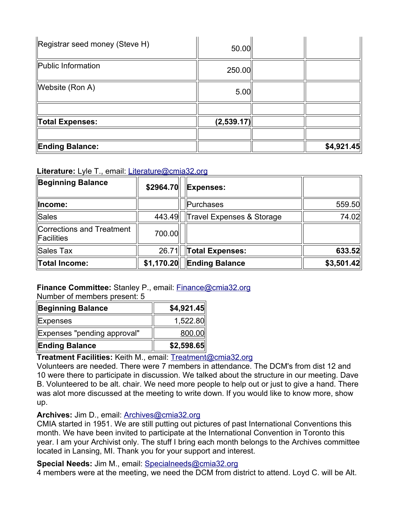| Registrar seed money (Steve H) | 50.00      |            |
|--------------------------------|------------|------------|
| Public Information             | 250.00     |            |
| Website (Ron A)                | 5.00       |            |
|                                |            |            |
| Total Expenses:                | (2,539.17) |            |
|                                |            |            |
| <b>Ending Balance:</b>         |            | \$4,921.45 |

## **Literature:** Lyle T., email: [Literature@cmia32.org](mailto:Literature@cmia32.org)

| <b>Beginning Balance</b>                | \$2964.70  | <b>Expenses:</b>          |            |
|-----------------------------------------|------------|---------------------------|------------|
| Income:                                 |            | Purchases                 | 559.50     |
| <b>Sales</b>                            | 443.49     | Travel Expenses & Storage | 74.02      |
| Corrections and Treatment<br>Facilities | 700.00     |                           |            |
| Sales Tax                               | 26.71      | <b>Total Expenses:</b>    | 633.52     |
| <b>Total Income:</b>                    | \$1,170.20 | <b>Ending Balance</b>     | \$3,501.42 |

# **Finance Committee:** Stanley P., email: [Finance@cmia32.org](mailto:Finance@cmia32.org)

Number of members present: 5

| <b>Beginning Balance</b>    | \$4,921.45 |
|-----------------------------|------------|
| <b>Expenses</b>             | 1,522.80   |
| Expenses "pending approval" | 800.00     |
| <b>Ending Balance</b>       | \$2,598.65 |

# **Treatment Facilities:** Keith M., email: [Treatment@cmia32.org](mailto:Treatment@cmia32.org)

Volunteers are needed. There were 7 members in attendance. The DCM's from dist 12 and 10 were there to participate in discussion. We talked about the structure in our meeting. Dave B. Volunteered to be alt. chair. We need more people to help out or just to give a hand. There was alot more discussed at the meeting to write down. If you would like to know more, show up.

## **Archives:** Jim D., email: [Archives@cmia32.org](mailto:Archives@cmia32.org)

CMIA started in 1951. We are still putting out pictures of past International Conventions this month. We have been invited to participate at the International Convention in Toronto this year. I am your Archivist only. The stuff I bring each month belongs to the Archives committee located in Lansing, MI. Thank you for your support and interest.

## **Special Needs:** Jim M., email: [Specialneeds@cmia32.org](mailto:Specialneeds@cmia32.org)

4 members were at the meeting, we need the DCM from district to attend. Loyd C. will be Alt.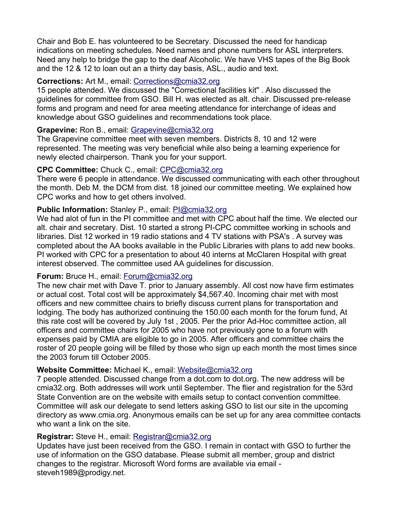Chair and Bob E. has volunteered to be Secretary. Discussed the need for handicap indications on meeting schedules. Need names and phone numbers for ASL interpreters. Need any help to bridge the gap to the deaf Alcoholic. We have VHS tapes of the Big Book and the 12 & 12 to loan out an a thirty day basis, ASL., audio and text.

## **Corrections:** Art M., email: [Corrections@cmia32.org](mailto:Corrections@cmia32.org)

15 people attended. We discussed the "Correctional facilities kit" . Also discussed the guidelines for committee from GSO. Bill H. was elected as alt. chair. Discussed pre-release forms and program and need for area meeting attendance for interchange of ideas and knowledge about GSO guidelines and recommendations took place.

## **Grapevine:** Ron B., email: [Grapevine@cmia32.org](mailto:Grapevine@cmia32.org)

The Grapevine committee meet with seven members. Districts 8, 10 and 12 were represented. The meeting was very beneficial while also being a learning experience for newly elected chairperson. Thank you for your support.

## **CPC Committee:** Chuck C., email: [CPC@cmia32.org](mailto:cpc@cmia32.org)

There were 6 people in attendance. We discussed communicating with each other throughout the month. Deb M. the DCM from dist. 18 joined our committee meeting. We explained how CPC works and how to get others involved.

# **Public Information:** Stanley P., email: [PI@cmia32.org](mailto:pi@cmia32.org)

We had alot of fun in the PI committee and met with CPC about half the time. We elected our alt. chair and secretary. Dist. 10 started a strong PI-CPC committee working in schools and libraries. Dist 12 worked in 19 radio stations and 4 TV stations with PSA's . A survey was completed about the AA books available in the Public Libraries with plans to add new books. PI worked with CPC for a presentation to about 40 interns at McClaren Hospital with great interest observed. The committee used AA guidelines for discussion.

## **Forum:** Bruce H., email: [Forum@cmia32.org](mailto:Forum@cmia32.org)

The new chair met with Dave T. prior to January assembly. All cost now have firm estimates or actual cost. Total cost will be approximately \$4,567.40. Incoming chair met with most officers and new committee chairs to briefly discuss current plans for transportation and lodging. The body has authorized continuing the 150.00 each month for the forum fund, At this rate cost will be covered by July 1st , 2005. Per the prior Ad-Hoc committee action, all officers and committee chairs for 2005 who have not previously gone to a forum with expenses paid by CMIA are eligible to go in 2005. After officers and committee chairs the roster of 20 people going will be filled by those who sign up each month the most times since the 2003 forum till October 2005.

# **Website Committee:** Michael K., email: [Website@cmia32.org](mailto:Website@cmia32.org)

7 people attended. Discussed change from a dot.com to dot.org. The new address will be cmia32.org. Both addresses will work until September. The flier and registration for the 53rd State Convention are on the website with emails setup to contact convention committee. Committee will ask our delegate to send letters asking GSO to list our site in the upcoming directory as www.cmia.org. Anonymous emails can be set up for any area committee contacts who want a link on the site.

# **Registrar:** Steve H., email: [Registrar@cmia32.org](mailto:Registrar@cmia32.org)

Updates have just been received from the GSO. I remain in contact with GSO to further the use of information on the GSO database. Please submit all member, group and district changes to the registrar. Microsoft Word forms are available via email steveh1989@prodigy.net.